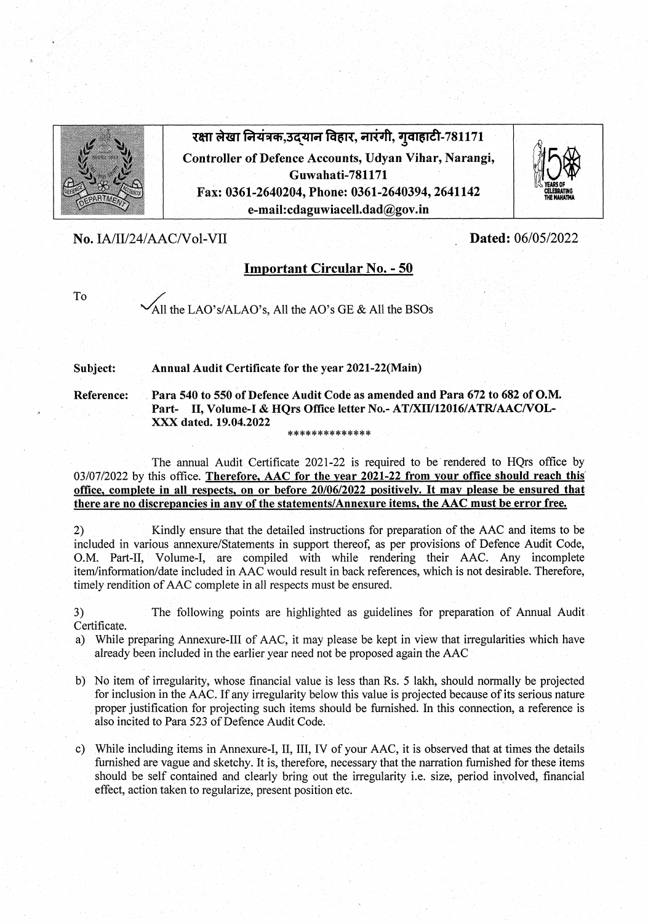

रक्षा लेखा नियत्रक,उद्यान विहार, नारगी, गुवाहाटी-781171 Controller of Defence Accounts, Udyan Vihar, Narangi, Guwahati-781171 Fax: 0361-2640204, Phone: 0361-2640394, 2641142 e-mail:cdaguwiacell.dad@gov.in



No. IA/II/24/AAC/Vol-VII Dated: 06/05/2022

## Important Circular No. - 50

To

/All the LAO's/ALAO's, All the AO's GE & All the BSOs

Subject: Annual Audit Certificate for the year 2021-22(Main)

Reference: Para 540 to 550 of Defence Audit Code as amended and Para 672 to 682 of O.M. Part- II, Volume-1 & HQrs Office letter No. -AT/XII/12016/ATR/AAC/VOL- $\overline{\text{XXX}}$  dated. 19.04.2022

The annual Audit Certificate 2021-22 is required to be rendered to HQrs office by 03/07/2022 by this office. Therefore, AAC for the year 2021-22 from your office should reach this office, complete in all respects, on or before  $20/06/2022$  positively. It may please be ensured that there are no discrepancies in any of the statements/Annexure items, the AAC must be error free.

2) Kindly ensure that the detailed instructions for preparation of the AAC and items to be included in various annexure/Statements in support thereof, as per provisions of Defence Audit Code, O.M. Part-II, Volume-I, are compiled with while rendering their AAC. Any incomplete item/information/date included in AAC would result in back references, which is not desirable Therefore, timely rendition of AAC complete in all respects must be ensured.

3) The following points are highlighted as guidelines for preparation of Annual Audit Certificate

- a) While preparing Annexure-Ill of AAC, it may please be kept in view that irregularities which have already been included in the earlier year need not be proposed again the AAC
- b) No item of irregularity, whose financial value is less than Rs *5* lakh, should normally be projected for inclusion in the AAC If any irregularity below this value is projected because of its serious nature proper justification for projecting such items should be furnished. In this connection, a reference is also incited to Para 523 of Defence Audit Code
- c) While including items in Annexure-I, II, III, IV of your AAC, it is observed that at times the details furnished are vague and sketchy. It is, therefore, necessary that the narration furnished for these items should be self contained and clearly bring out the irregularity i.e. size, period involved, financial effect, action taken to regularize, present position etc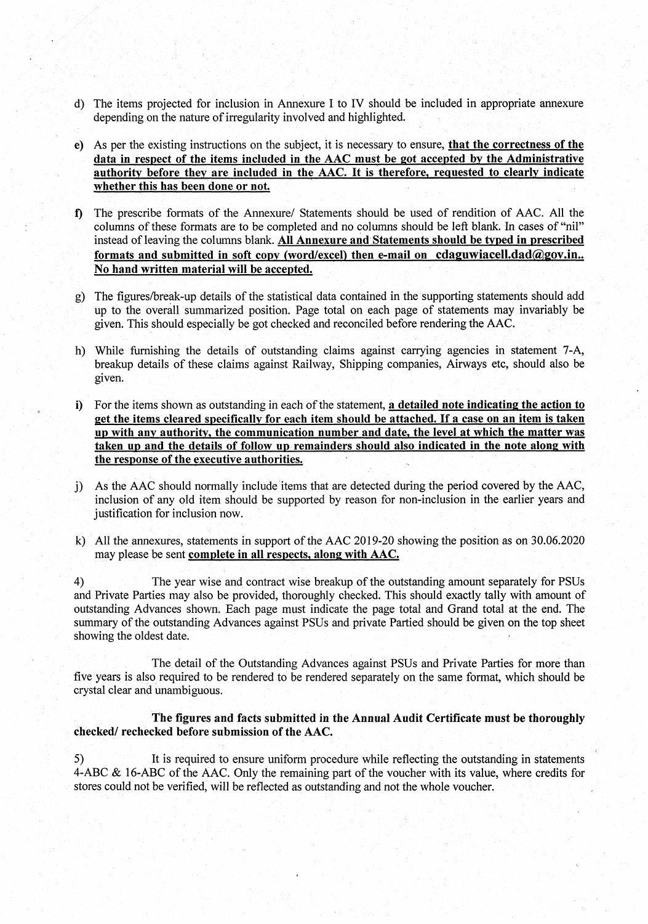- d) The items projected for inclusion in Annexure I to IV should be included in appropriate annexure depending on the nature of irregularity involved and highlighted.
- e) As per the existing instructions on the subject, it is necessary to ensure, that the correctness of the data in respect of the items included in the AAC must be got accepted by the Administrative authority before they are included in the AAC. It is therefore, requested to clearly indicate whether this has been done or not.
- 1) The prescribe formats of the Annexure/ Statements should be used of rendition of AAC. All the : columns of these formats are to be completed and no columns should be left blank. In cases of "nil" instead of leaving the columns blank. All Annexure and Statements should be typed in prescribed formats and submitted in soft copy (word/excel) then e-mail on cdaguwiacell.dad $@gov.in..$ No hand written material will be accepted.
- g) The figures/break-up details of the statistical data contained in the supporting statements should add up to the overall summarized position. Page total on each page of statements may invariably be given. This should especially be got checked and reconciled before rendering the AAC.
- h) While furnishing the details of outstanding claims against carrying agencies in statement 7-A, breakup details of these claims against Railway, Shipping companies, Airways etc, should also be given.
- i) For the items shown as outstanding in each of the statement, a detailed note indicating the action to get the items cleared specifically for each item should be attached. If a case on an item is taken up with any authority, the communication number and date, the level at which the matter was taken up and the details of follow up remainders should also indicated in the note along with the response of the executive authorities.
- j) As the AAC should normally include 'items that are detected during the period covered by the AAC, inclusion of any old item should be supported by reason for non-inclusion in the earlier years and justification for inclusion now.
- k) All the annexures, statements in support of the AAC 2019-20 showing the position as on 30.06.2020 may please be sent complete in all respects, along with AAC.

4) The year wise and contract wise breakup of the outstanding amount separately for PSUs and Private Parties may also be provided, thoroughly checked. This should exactly tally with amount of outstanding Advances shown. Each page must indicate the page total and Grand total at the end. The summary of the outstanding Advances against PSUs and private Partied should be given on the top sheet showing the oldest date.

The detail of the Outstanding Advances against PSUs and Private Parties for more than five years is also required to be rendered to be rendered separately on the same format, which should be crystal clear and unambiguous.

The figures and facts submitted in the Annual Audit Certificate must be thoroughly checked/ rechecked before submission of the AAC.

*5)* It is required to ensure uniform procedure while reflecting the outstanding in statements 4-ABC & 16-ABC of the AAC. Only the remaining part of the voucher with its value, where credits for stores could not be verified, will be reflected as outstanding and not the whole voucher.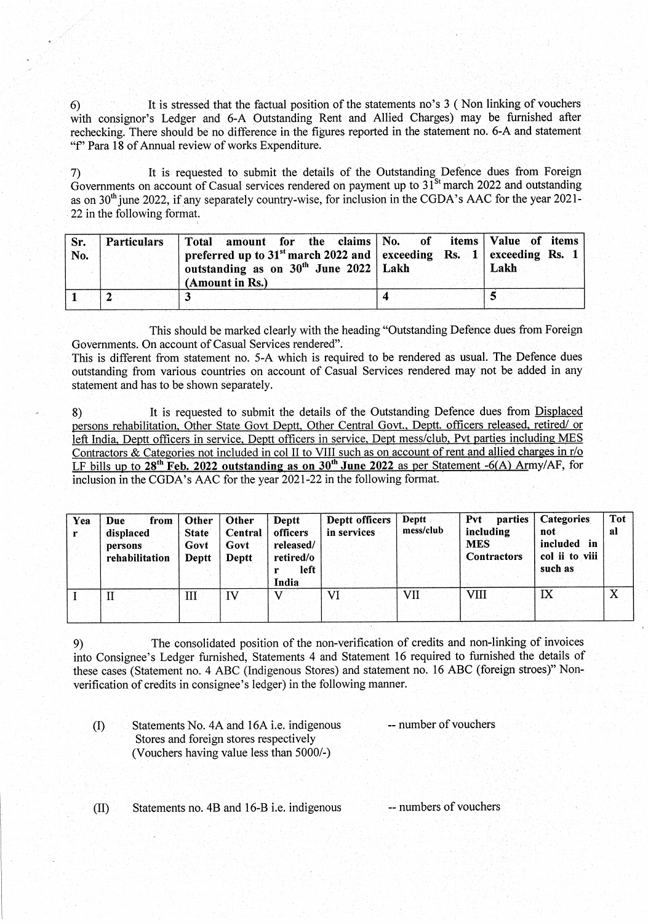It is stressed that the factual position of the statements no's 3 (Non linking of vouchers  $6)$ with consignor's Ledger and 6-A Outstanding Rent and Allied Charges) may be furnished after rechecking. There should be no difference in the figures reported in the statement no. 6-A and statement "f" Para 18 of Annual review of works Expenditure.

It is requested to submit the details of the Outstanding Defence dues from Foreign  $\overline{7}$ Governments on account of Casual services rendered on payment up to  $31^{8t}$  march 2022 and outstanding as on 30<sup>th</sup> june 2022, if any separately country-wise, for inclusion in the CGDA's AAC for the year 2021-22 in the following format.

| Sr.<br>No. | <b>Particulars</b> | Total amount for the claims No. of items Value of items<br>preferred up to $31^{st}$ march 2022 and exceeding Rs. 1 exceeding Rs. 1<br>outstanding as on $30th$ June 2022   Lakh<br>(Amount in Rs.) | Lakh |
|------------|--------------------|-----------------------------------------------------------------------------------------------------------------------------------------------------------------------------------------------------|------|
|            |                    |                                                                                                                                                                                                     |      |

This should be marked clearly, with the heading "Outstanding Defence dues from Foreign Governments. On account of Casual Services rendered".

This is different from statement no. 5-A which is required to be rendered as usual. The Defence dues outstanding from various countries on account of Casual Services rendered may not be added in any statement and has to be shown separately.

8) It is requested to submit the details of the Outstanding Defence dues from Displaced persons rehabilitation, Other State Govt Deptt, Other Central Govt., Deptt. officers released, retired/ or left India, Deptt officers in service, Deptt officers in service, Dept mess/club, Pvt parties including MES Contractors & Categories not included in col II to VIII such as on account of rent and allied charges in r/o LF bills up to 28<sup>th</sup> Feb. 2022 outstanding as on 30<sup>th</sup> June 2022 as per Statement -6(A) Army/AF, for inclusion in the CGDA's AAC for the year 2021-22 in the following format

| Yea | Due<br>from<br>displaced<br>persons<br>rehabilitation | Other<br><b>State</b><br>Govt<br>Deptt | Other<br>Central<br>Govt<br>Deptt | Deptt<br>officers<br>released/<br>retired/o<br>left<br>India | Deptt officers<br>in services | Deptt<br>mess/club | parties<br>Pvt<br>including<br><b>MES</b><br><b>Contractors</b> | <b>Categories</b><br>not<br>included in<br>col ii to viii<br>such as | Tot<br>-al |
|-----|-------------------------------------------------------|----------------------------------------|-----------------------------------|--------------------------------------------------------------|-------------------------------|--------------------|-----------------------------------------------------------------|----------------------------------------------------------------------|------------|
|     | П                                                     | Ш                                      | IV                                | XT.                                                          | VI                            | VII                | VIII                                                            | IX                                                                   | X          |

9) The consolidated position of the non-verification of credits and non-linking of invoices into Consignee's Ledger furnished, Statements 4 and Statement 16 required to furnished the details of these cases (Statement no. 4 ABC (Indigenous Stores) and statement no. 16 ABC (foreign stroes)" Nonverification of credits in consignee's ledger) in the following manner.

| Statements No. 4A and 16A i.e. indigenous | -- number of vouchers |
|-------------------------------------------|-----------------------|
| Stores and foreign stores respectively    |                       |
| (Vouchers having value less than 5000/-)  |                       |

 $(II)$ Statements no. 4B and 16-B i.e. indigenous -- numbers of vouchers